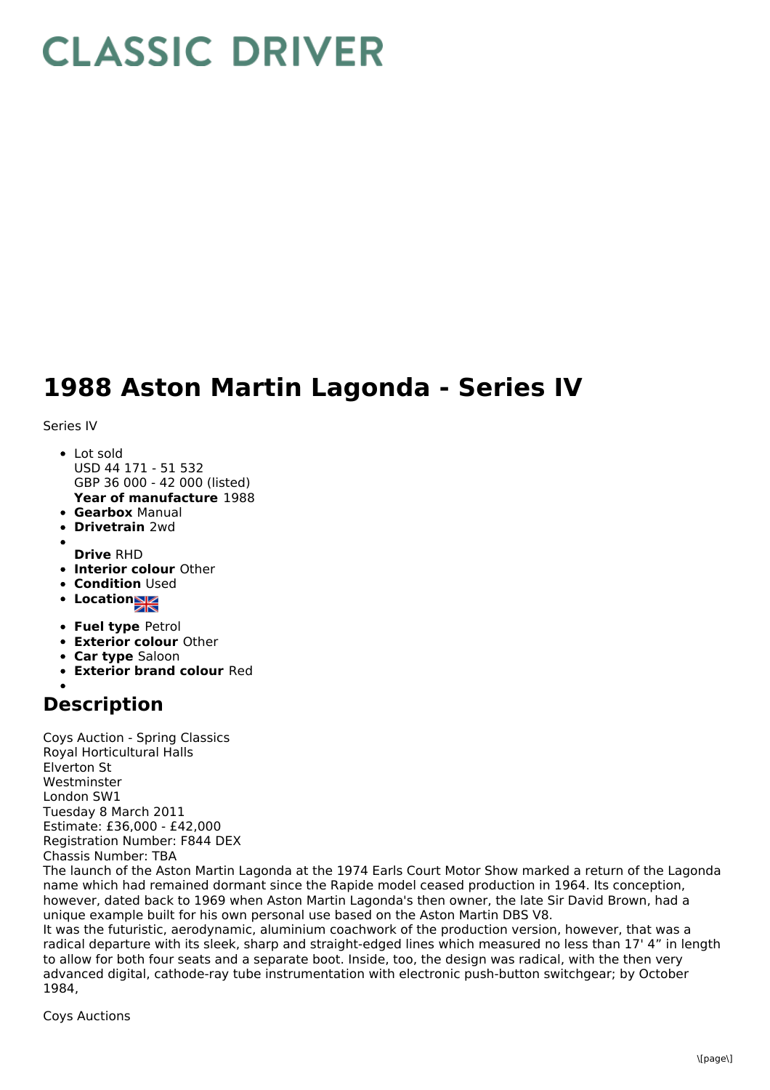## **CLASSIC DRIVER**

## **1988 Aston Martin Lagonda - Series IV**

Series IV

- **Year of manufacture** 1988 • Lot sold USD 44 171 - 51 532 GBP 36 000 - 42 000 (listed)
- **Gearbox** Manual
- **Drivetrain** 2wd
- 
- **Drive** RHD
- **Interior colour** Other
- **Condition Used**
- Location
- **Fuel type** Petrol
- **Exterior colour** Other
- **Car type** Saloon
- **Exterior brand colour** Red

## **Description**

Coys Auction - Spring Classics Royal Horticultural Halls Elverton St Westminster London SW1 Tuesday 8 March 2011 Estimate: £36,000 - £42,000 Registration Number: F844 DEX Chassis Number: TBA

The launch of the Aston Martin Lagonda at the 1974 Earls Court Motor Show marked a return of the Lagonda name which had remained dormant since the Rapide model ceased production in 1964. Its conception, however, dated back to 1969 when Aston Martin Lagonda's then owner, the late Sir David Brown, had a unique example built for his own personal use based on the Aston Martin DBS V8.

It was the futuristic, aerodynamic, aluminium coachwork of the production version, however, that was a radical departure with its sleek, sharp and straight-edged lines which measured no less than 17' 4" in length to allow for both four seats and a separate boot. Inside, too, the design was radical, with the then very advanced digital, cathode-ray tube instrumentation with electronic push-button switchgear; by October 1984,

Coys Auctions